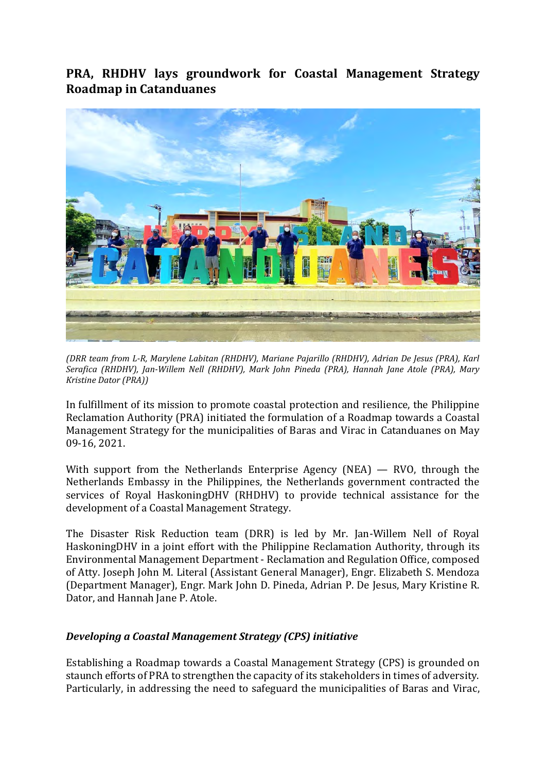**PRA, RHDHV lays groundwork for Coastal Management Strategy Roadmap in Catanduanes**



*(DRR team from L-R, Marylene Labitan (RHDHV), Mariane Pajarillo (RHDHV), Adrian De Jesus (PRA), Karl Serafica (RHDHV), Jan-Willem Nell (RHDHV), Mark John Pineda (PRA), Hannah Jane Atole (PRA), Mary Kristine Dator (PRA))*

In fulfillment of its mission to promote coastal protection and resilience, the Philippine Reclamation Authority (PRA) initiated the formulation of a Roadmap towards a Coastal Management Strategy for the municipalities of Baras and Virac in Catanduanes on May 09-16, 2021.

With support from the Netherlands Enterprise Agency (NEA) — RVO, through the Netherlands Embassy in the Philippines, the Netherlands government contracted the services of Royal HaskoningDHV (RHDHV) to provide technical assistance for the development of a Coastal Management Strategy.

The Disaster Risk Reduction team (DRR) is led by Mr. Jan-Willem Nell of Royal HaskoningDHV in a joint effort with the Philippine Reclamation Authority, through its Environmental Management Department - Reclamation and Regulation Office, composed of Atty. Joseph John M. Literal (Assistant General Manager), Engr. Elizabeth S. Mendoza (Department Manager), Engr. Mark John D. Pineda, Adrian P. De Jesus, Mary Kristine R. Dator, and Hannah Jane P. Atole.

## *Developing a Coastal Management Strategy (CPS) initiative*

Establishing a Roadmap towards a Coastal Management Strategy (CPS) is grounded on staunch efforts of PRA to strengthen the capacity of its stakeholders in times of adversity. Particularly, in addressing the need to safeguard the municipalities of Baras and Virac,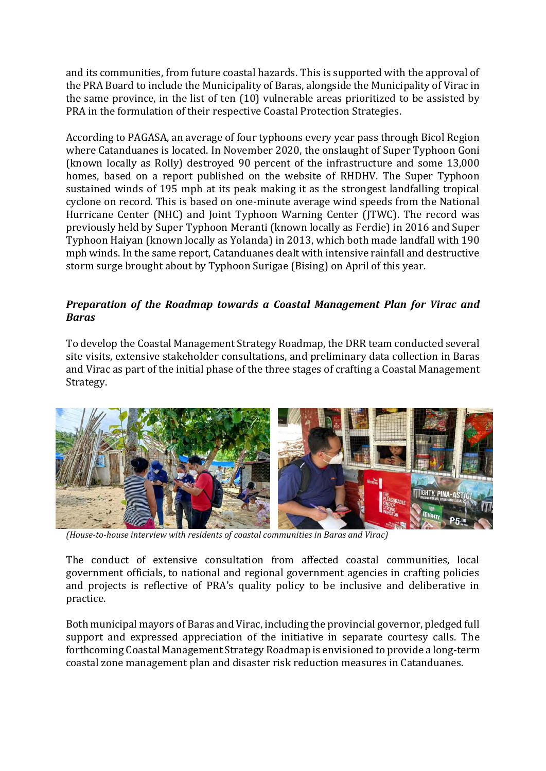and its communities, from future coastal hazards. This is supported with the approval of the PRA Board to include the Municipality of Baras, alongside the Municipality of Virac in the same province, in the list of ten (10) vulnerable areas prioritized to be assisted by PRA in the formulation of their respective Coastal Protection Strategies.

According to PAGASA, an average of four typhoons every year pass through Bicol Region where Catanduanes is located. In November 2020, the onslaught of Super Typhoon Goni (known locally as Rolly) destroyed 90 percent of the infrastructure and some 13,000 homes, based on a report published on the website of RHDHV. The Super Typhoon sustained winds of 195 mph at its peak making it as the strongest landfalling tropical cyclone on record. This is based on one-minute average wind speeds from the National Hurricane Center (NHC) and Joint Typhoon Warning Center (JTWC). The record was previously held by Super Typhoon Meranti (known locally as Ferdie) in 2016 and Super Typhoon Haiyan (known locally as Yolanda) in 2013, which both made landfall with 190 mph winds. In the same report, Catanduanes dealt with intensive rainfall and destructive storm surge brought about by Typhoon Surigae (Bising) on April of this year.

## *Preparation of the Roadmap towards a Coastal Management Plan for Virac and Baras*

To develop the Coastal Management Strategy Roadmap, the DRR team conducted several site visits, extensive stakeholder consultations, and preliminary data collection in Baras and Virac as part of the initial phase of the three stages of crafting a Coastal Management Strategy.



*(House-to-house interview with residents of coastal communities in Baras and Virac)*

The conduct of extensive consultation from affected coastal communities, local government officials, to national and regional government agencies in crafting policies and projects is reflective of PRA's quality policy to be inclusive and deliberative in practice.

Both municipal mayors of Baras and Virac, including the provincial governor, pledged full support and expressed appreciation of the initiative in separate courtesy calls. The forthcoming Coastal Management Strategy Roadmap is envisioned to provide a long-term coastal zone management plan and disaster risk reduction measures in Catanduanes.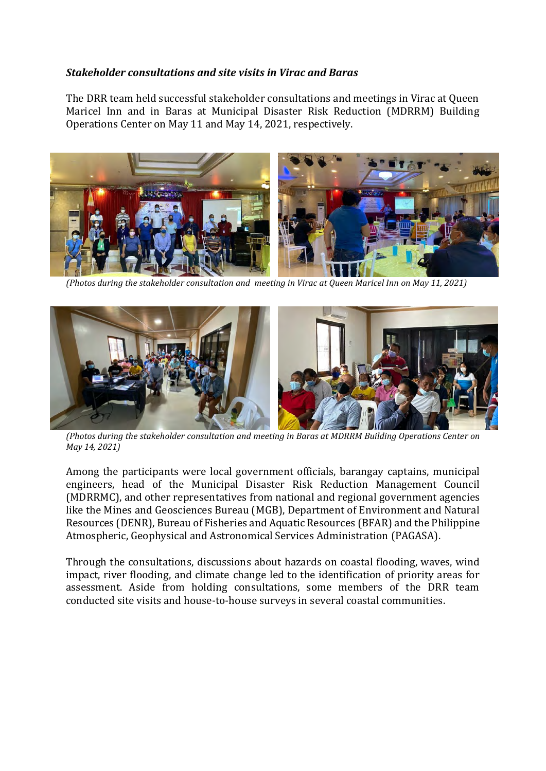## *Stakeholder consultations and site visits in Virac and Baras*

The DRR team held successful stakeholder consultations and meetings in Virac at Queen Maricel Inn and in Baras at Municipal Disaster Risk Reduction (MDRRM) Building Operations Center on May 11 and May 14, 2021, respectively.



*(Photos during the stakeholder consultation and meeting in Virac at Queen Maricel Inn on May 11, 2021)*



*(Photos during the stakeholder consultation and meeting in Baras at MDRRM Building Operations Center on May 14, 2021)*

Among the participants were local government officials, barangay captains, municipal engineers, head of the Municipal Disaster Risk Reduction Management Council (MDRRMC), and other representatives from national and regional government agencies like the Mines and Geosciences Bureau (MGB), Department of Environment and Natural Resources (DENR), Bureau of Fisheries and Aquatic Resources (BFAR) and the Philippine Atmospheric, Geophysical and Astronomical Services Administration (PAGASA).

Through the consultations, discussions about hazards on coastal flooding, waves, wind impact, river flooding, and climate change led to the identification of priority areas for assessment. Aside from holding consultations, some members of the DRR team conducted site visits and house-to-house surveys in several coastal communities.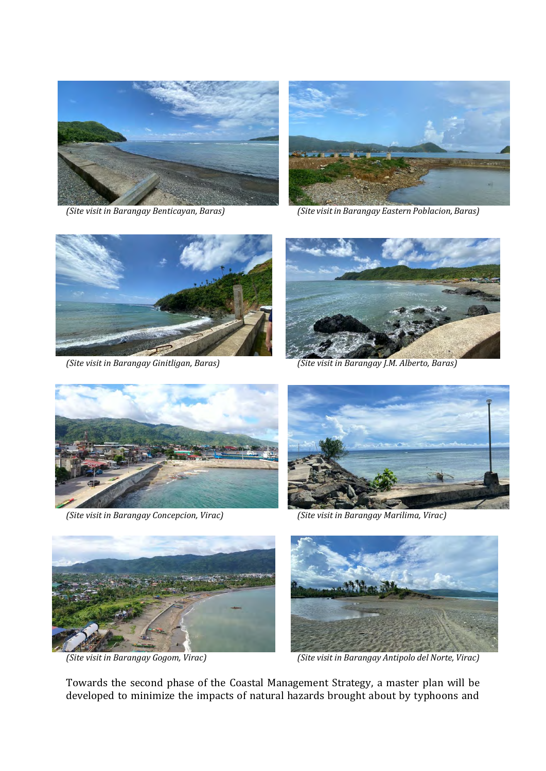





*(Site visit in Barangay Benticayan, Baras) (Site visit in Barangay Eastern Poblacion, Baras)*





*(Site visit in Barangay Ginitligan, Baras) (Site visit in Barangay J.M. Alberto, Baras)*



*(Site visit in Barangay Concepcion, Virac) (Site visit in Barangay Marilima, Virac)*







*(Site visit in Barangay Gogom, Virac) (Site visit in Barangay Antipolo del Norte, Virac)*

Towards the second phase of the Coastal Management Strategy, a master plan will be developed to minimize the impacts of natural hazards brought about by typhoons and